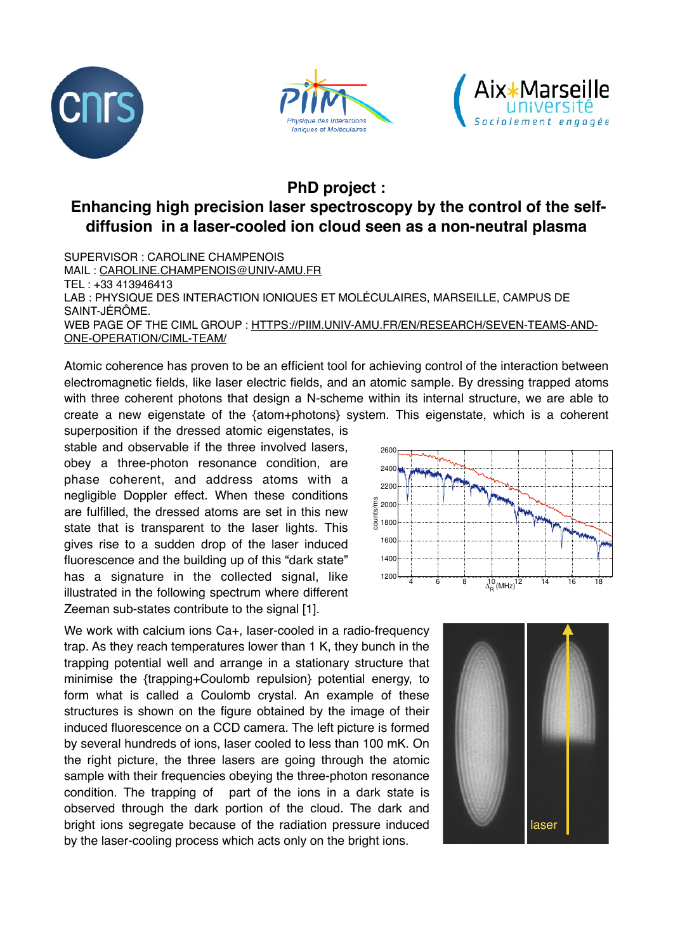





## **PhD project :**

## **Enhancing high precision laser spectroscopy by the control of the selfdiffusion in a laser-cooled ion cloud seen as a non-neutral plasma**

SUPERVISOR : CAROLINE CHAMPENOIS MAIL : [CAROLINE.CHAMPENOIS@UNIV-AMU.FR](mailto:caroline.champenois@univ-amu.fr) TEL : +33 413946413 LAB : PHYSIQUE DES INTERACTION IONIQUES ET MOLÉCULAIRES, MARSEILLE, CAMPUS DE SAINT-JÉRÔME. WEB PAGE OF THE CIML GROUP : [HTTPS://PIIM.UNIV-AMU.FR/EN/RESEARCH/SEVEN-TEAMS-AND-](https://piim.univ-amu.fr/en/research/seven-teams-and-one-operation/ciml-team/)[ONE-OPERATION/CIML-TEAM/](https://piim.univ-amu.fr/en/research/seven-teams-and-one-operation/ciml-team/)

Atomic coherence has proven to be an efficient tool for achieving control of the interaction between electromagnetic fields, like laser electric fields, and an atomic sample. By dressing trapped atoms with three coherent photons that design a N-scheme within its internal structure, we are able to create a new eigenstate of the {atom+photons} system. This eigenstate, which is a coherent

superposition if the dressed atomic eigenstates, is stable and observable if the three involved lasers, obey a three-photon resonance condition, are phase coherent, and address atoms with a negligible Doppler effect. When these conditions are fulfilled, the dressed atoms are set in this new state that is transparent to the laser lights. This gives rise to a sudden drop of the laser induced fluorescence and the building up of this "dark state" has a signature in the collected signal, like illustrated in the following spectrum where different Zeeman sub-states contribute to the signal [1].

We work with calcium ions Ca+, laser-cooled in a radio-frequency trap. As they reach temperatures lower than 1 K, they bunch in the trapping potential well and arrange in a stationary structure that minimise the {trapping+Coulomb repulsion} potential energy, to form what is called a Coulomb crystal. An example of these structures is shown on the figure obtained by the image of their induced fluorescence on a CCD camera. The left picture is formed by several hundreds of ions, laser cooled to less than 100 mK. On the right picture, the three lasers are going through the atomic sample with their frequencies obeying the three-photon resonance condition. The trapping of part of the ions in a dark state is observed through the dark portion of the cloud. The dark and bright ions segregate because of the radiation pressure induced by the laser-cooling process which acts only on the bright ions.